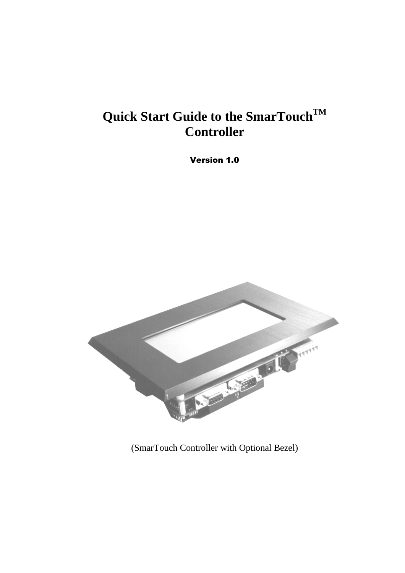# **Quick Start Guide to the SmarTouchTM Controller**

Version 1.0



(SmarTouch Controller with Optional Bezel)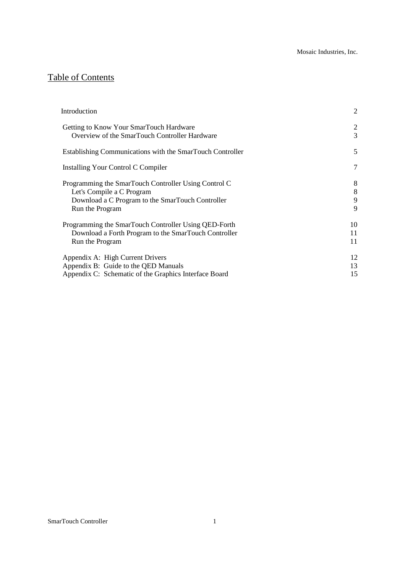# Table of Contents

| Introduction                                              | 2  |
|-----------------------------------------------------------|----|
| Getting to Know Your SmarTouch Hardware                   | 2  |
| Overview of the SmarTouch Controller Hardware             | 3  |
| Establishing Communications with the SmarTouch Controller | 5  |
| Installing Your Control C Compiler                        | 7  |
| Programming the SmarTouch Controller Using Control C      | 8  |
| Let's Compile a C Program                                 | 8  |
| Download a C Program to the SmarTouch Controller          | 9  |
| Run the Program                                           | 9  |
| Programming the SmarTouch Controller Using QED-Forth      | 10 |
| Download a Forth Program to the SmarTouch Controller      | 11 |
| Run the Program                                           | 11 |
| Appendix A: High Current Drivers                          | 12 |
| Appendix B: Guide to the QED Manuals                      | 13 |
| Appendix C: Schematic of the Graphics Interface Board     | 15 |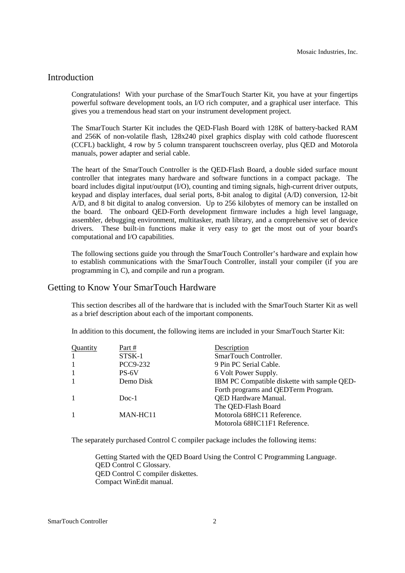## Introduction

Congratulations! With your purchase of the SmarTouch Starter Kit, you have at your fingertips powerful software development tools, an I/O rich computer, and a graphical user interface. This gives you a tremendous head start on your instrument development project.

The SmarTouch Starter Kit includes the QED-Flash Board with 128K of battery-backed RAM and 256K of non-volatile flash, 128x240 pixel graphics display with cold cathode fluorescent (CCFL) backlight, 4 row by 5 column transparent touchscreen overlay, plus QED and Motorola manuals, power adapter and serial cable.

The heart of the SmarTouch Controller is the QED-Flash Board, a double sided surface mount controller that integrates many hardware and software functions in a compact package. The board includes digital input/output (I/O), counting and timing signals, high-current driver outputs, keypad and display interfaces, dual serial ports, 8-bit analog to digital (A/D) conversion, 12-bit A/D, and 8 bit digital to analog conversion. Up to 256 kilobytes of memory can be installed on the board. The onboard QED-Forth development firmware includes a high level language, assembler, debugging environment, multitasker, math library, and a comprehensive set of device drivers. These built-in functions make it very easy to get the most out of your board's computational and I/O capabilities.

The following sections guide you through the SmarTouch Controller's hardware and explain how to establish communications with the SmarTouch Controller, install your compiler (if you are programming in C), and compile and run a program.

# Getting to Know Your SmarTouch Hardware

This section describes all of the hardware that is included with the SmarTouch Starter Kit as well as a brief description about each of the important components.

In addition to this document, the following items are included in your SmarTouch Starter Kit:

| Quantity | Part #    | Description                                 |
|----------|-----------|---------------------------------------------|
|          | STSK-1    | SmarTouch Controller.                       |
|          | PCC9-232  | 9 Pin PC Serial Cable.                      |
|          | PS-6V     | 6 Volt Power Supply.                        |
|          | Demo Disk | IBM PC Compatible diskette with sample QED- |
|          |           | Forth programs and QEDTerm Program.         |
|          | $Doc-1$   | <b>QED Hardware Manual.</b>                 |
|          |           | The QED-Flash Board                         |
|          | MAN-HC11  | Motorola 68HC11 Reference.                  |
|          |           | Motorola 68HC11F1 Reference.                |

The separately purchased Control C compiler package includes the following items:

 Getting Started with the QED Board Using the Control C Programming Language. QED Control C Glossary. QED Control C compiler diskettes. Compact WinEdit manual.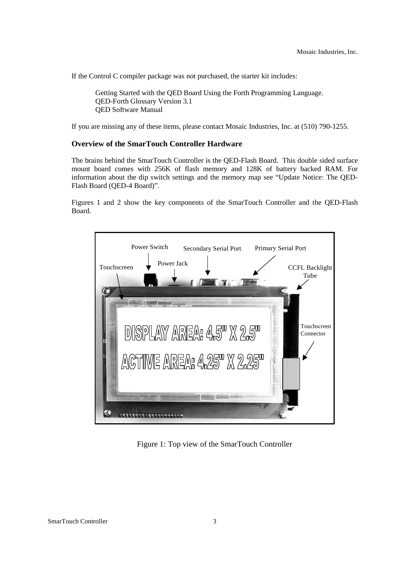If the Control C compiler package was not purchased, the starter kit includes:

 Getting Started with the QED Board Using the Forth Programming Language. QED-Forth Glossary Version 3.1 QED Software Manual

If you are missing any of these items, please contact Mosaic Industries, Inc. at (510) 790-1255.

#### **Overview of the SmarTouch Controller Hardware**

The brains behind the SmarTouch Controller is the QED-Flash Board. This double sided surface mount board comes with 256K of flash memory and 128K of battery backed RAM. For information about the dip switch settings and the memory map see "Update Notice: The QED-Flash Board (QED-4 Board)".

Figures 1 and 2 show the key components of the SmarTouch Controller and the QED-Flash Board.



Figure 1: Top view of the SmarTouch Controller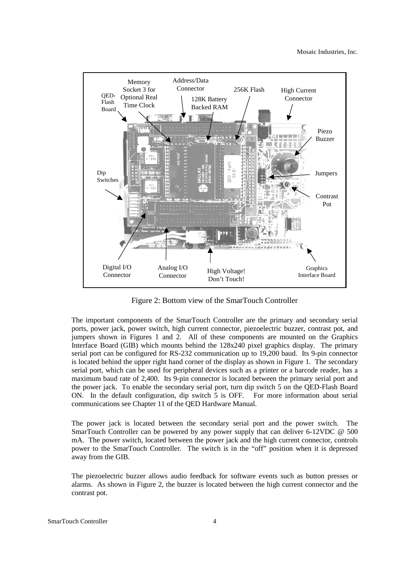

Figure 2: Bottom view of the SmarTouch Controller

The important components of the SmarTouch Controller are the primary and secondary serial ports, power jack, power switch, high current connector, piezoelectric buzzer, contrast pot, and jumpers shown in Figures 1 and 2. All of these components are mounted on the Graphics Interface Board (GIB) which mounts behind the 128x240 pixel graphics display. The primary serial port can be configured for RS-232 communication up to 19,200 baud. Its 9-pin connector is located behind the upper right hand corner of the display as shown in Figure 1. The secondary serial port, which can be used for peripheral devices such as a printer or a barcode reader, has a maximum baud rate of 2,400. Its 9-pin connector is located between the primary serial port and the power jack. To enable the secondary serial port, turn dip switch 5 on the QED-Flash Board ON. In the default configuration, dip switch 5 is OFF. For more information about serial communications see Chapter 11 of the QED Hardware Manual.

The power jack is located between the secondary serial port and the power switch. The SmarTouch Controller can be powered by any power supply that can deliver 6-12VDC @ 500 mA. The power switch, located between the power jack and the high current connector, controls power to the SmarTouch Controller. The switch is in the "off" position when it is depressed away from the GIB.

The piezoelectric buzzer allows audio feedback for software events such as button presses or alarms. As shown in Figure 2, the buzzer is located between the high current connector and the contrast pot.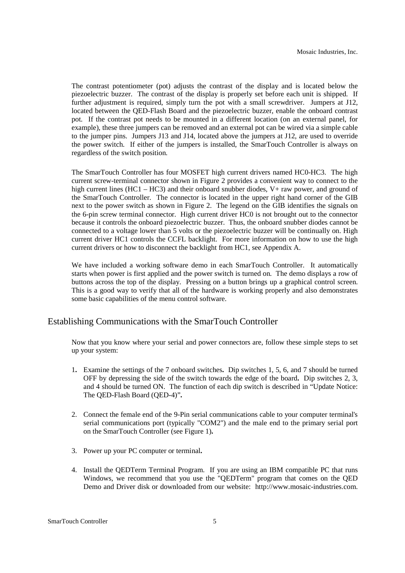The contrast potentiometer (pot) adjusts the contrast of the display and is located below the piezoelectric buzzer. The contrast of the display is properly set before each unit is shipped. If further adjustment is required, simply turn the pot with a small screwdriver. Jumpers at J12, located between the QED-Flash Board and the piezoelectric buzzer, enable the onboard contrast pot. If the contrast pot needs to be mounted in a different location (on an external panel, for example), these three jumpers can be removed and an external pot can be wired via a simple cable to the jumper pins. Jumpers J13 and J14, located above the jumpers at J12, are used to override the power switch. If either of the jumpers is installed, the SmarTouch Controller is always on regardless of the switch position.

The SmarTouch Controller has four MOSFET high current drivers named HC0-HC3. The high current screw-terminal connector shown in Figure 2 provides a convenient way to connect to the high current lines (HC1 – HC3) and their onboard snubber diodes,  $V+$  raw power, and ground of the SmarTouch Controller. The connector is located in the upper right hand corner of the GIB next to the power switch as shown in Figure 2. The legend on the GIB identifies the signals on the 6-pin screw terminal connector. High current driver HC0 is not brought out to the connector because it controls the onboard piezoelectric buzzer. Thus, the onboard snubber diodes cannot be connected to a voltage lower than 5 volts or the piezoelectric buzzer will be continually on. High current driver HC1 controls the CCFL backlight. For more information on how to use the high current drivers or how to disconnect the backlight from HC1, see Appendix A.

We have included a working software demo in each SmarTouch Controller. It automatically starts when power is first applied and the power switch is turned on. The demo displays a row of buttons across the top of the display. Pressing on a button brings up a graphical control screen. This is a good way to verify that all of the hardware is working properly and also demonstrates some basic capabilities of the menu control software.

# Establishing Communications with the SmarTouch Controller

Now that you know where your serial and power connectors are, follow these simple steps to set up your system:

- 1**.** Examine the settings of the 7 onboard switches**.** Dip switches 1, 5, 6, and 7 should be turned OFF by depressing the side of the switch towards the edge of the board**.** Dip switches 2, 3, and 4 should be turned ON. The function of each dip switch is described in "Update Notice: The QED-Flash Board (QED-4)"**.**
- 2. Connect the female end of the 9-Pin serial communications cable to your computer terminal's serial communications port (typically "COM2") and the male end to the primary serial port on the SmarTouch Controller (see Figure 1)**.**
- 3. Power up your PC computer or terminal**.**
- 4. Install the QEDTerm Terminal Program. If you are using an IBM compatible PC that runs Windows, we recommend that you use the "QEDTerm" program that comes on the QED Demo and Driver disk or downloaded from our website: http://www.mosaic-industries.com.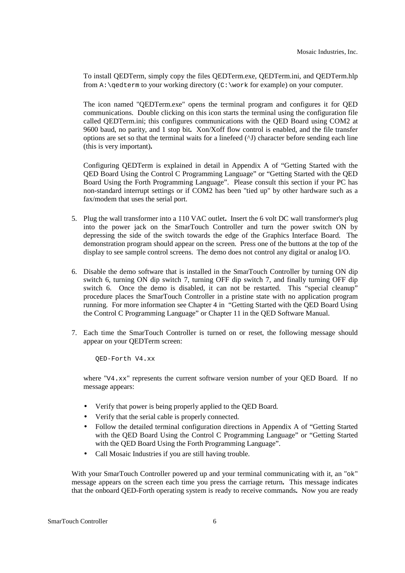To install QEDTerm, simply copy the files QEDTerm.exe, QEDTerm.ini, and QEDTerm.hlp from A:\qedterm to your working directory (C:\work for example) on your computer.

The icon named "QEDTerm.exe" opens the terminal program and configures it for QED communications. Double clicking on this icon starts the terminal using the configuration file called QEDTerm.ini; this configures communications with the QED Board using COM2 at 9600 baud, no parity, and 1 stop bit**.** Xon/Xoff flow control is enabled, and the file transfer options are set so that the terminal waits for a linefeed  $(\Delta J)$  character before sending each line (this is very important)**.**

 Configuring QEDTerm is explained in detail in Appendix A of "Getting Started with the QED Board Using the Control C Programming Language" or "Getting Started with the QED Board Using the Forth Programming Language". Please consult this section if your PC has non-standard interrupt settings or if COM2 has been "tied up" by other hardware such as a fax/modem that uses the serial port.

- 5. Plug the wall transformer into a 110 VAC outlet**.** Insert the 6 volt DC wall transformer's plug into the power jack on the SmarTouch Controller and turn the power switch ON by depressing the side of the switch towards the edge of the Graphics Interface Board. The demonstration program should appear on the screen. Press one of the buttons at the top of the display to see sample control screens. The demo does not control any digital or analog I/O.
- 6. Disable the demo software that is installed in the SmarTouch Controller by turning ON dip switch 6, turning ON dip switch 7, turning OFF dip switch 7, and finally turning OFF dip switch 6. Once the demo is disabled, it can not be restarted. This "special cleanup" procedure places the SmarTouch Controller in a pristine state with no application program running. For more information see Chapter 4 in "Getting Started with the QED Board Using the Control C Programming Language" or Chapter 11 in the QED Software Manual.
- 7. Each time the SmarTouch Controller is turned on or reset, the following message should appear on your QEDTerm screen:

QED-Forth V4**.**xx

where "V4.xx" represents the current software version number of your QED Board. If no message appears:

- Verify that power is being properly applied to the OED Board.
- Verify that the serial cable is properly connected.
- Follow the detailed terminal configuration directions in Appendix A of "Getting Started with the OED Board Using the Control C Programming Language" or "Getting Started with the OED Board Using the Forth Programming Language".
- Call Mosaic Industries if you are still having trouble.

With your SmarTouch Controller powered up and your terminal communicating with it, an "ok" message appears on the screen each time you press the carriage return**.** This message indicates that the onboard QED-Forth operating system is ready to receive commands**.** Now you are ready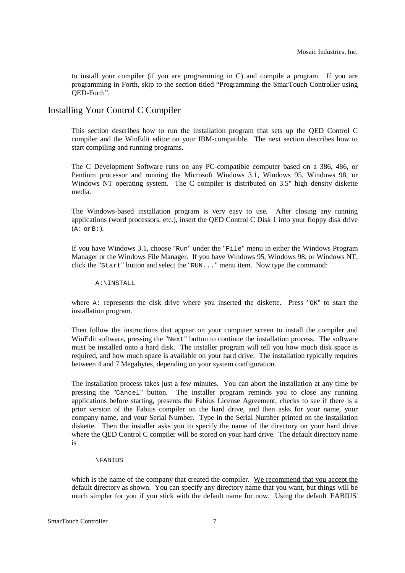to install your compiler (if you are programming in C) and compile a program. If you are programming in Forth, skip to the section titled "Programming the SmarTouch Controller using QED-Forth".

# Installing Your Control C Compiler

This section describes how to run the installation program that sets up the QED Control C compiler and the WinEdit editor on your IBM-compatible. The next section describes how to start compiling and running programs.

The C Development Software runs on any PC-compatible computer based on a 386, 486, or Pentium processor and running the Microsoft Windows 3.1, Windows 95, Windows 98, or Windows NT operating system. The C compiler is distributed on 3.5" high density diskette media.

The Windows-based installation program is very easy to use. After closing any running applications (word processors, etc.), insert the QED Control C Disk 1 into your floppy disk drive  $(A: \text{ or } B:$ ).

If you have Windows 3.1, choose "Run" under the "File" menu in either the Windows Program Manager or the Windows File Manager. If you have Windows 95, Windows 98, or Windows NT, click the "Start" button and select the "RUN..." menu item. Now type the command:

A:\INSTALL

where A: represents the disk drive where you inserted the diskette. Press "OK" to start the installation program.

Then follow the instructions that appear on your computer screen to install the compiler and WinEdit software, pressing the "Next" button to continue the installation process. The software must be installed onto a hard disk. The installer program will tell you how much disk space is required, and how much space is available on your hard drive. The installation typically requires between 4 and 7 Megabytes, depending on your system configuration.

The installation process takes just a few minutes. You can abort the installation at any time by pressing the "Cancel" button. The installer program reminds you to close any running applications before starting, presents the Fabius License Agreement, checks to see if there is a prior version of the Fabius compiler on the hard drive, and then asks for your name, your company name, and your Serial Number. Type in the Serial Number printed on the installation diskette. Then the installer asks you to specify the name of the directory on your hard drive where the QED Control C compiler will be stored on your hard drive. The default directory name is

\FABIUS

which is the name of the company that created the compiler. We recommend that you accept the default directory as shown. You can specify any directory name that you want, but things will be much simpler for you if you stick with the default name for now. Using the default 'FABIUS'

SmarTouch Controller 7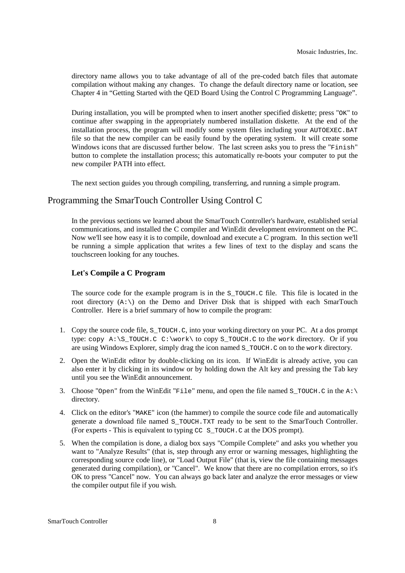directory name allows you to take advantage of all of the pre-coded batch files that automate compilation without making any changes. To change the default directory name or location, see Chapter 4 in "Getting Started with the QED Board Using the Control C Programming Language".

During installation, you will be prompted when to insert another specified diskette; press "OK" to continue after swapping in the appropriately numbered installation diskette. At the end of the installation process, the program will modify some system files including your AUTOEXEC.BAT file so that the new compiler can be easily found by the operating system. It will create some Windows icons that are discussed further below. The last screen asks you to press the "Finish" button to complete the installation process; this automatically re-boots your computer to put the new compiler PATH into effect.

The next section guides you through compiling, transferring, and running a simple program.

# Programming the SmarTouch Controller Using Control C

In the previous sections we learned about the SmarTouch Controller's hardware, established serial communications, and installed the C compiler and WinEdit development environment on the PC. Now we'll see how easy it is to compile, download and execute a C program. In this section we'll be running a simple application that writes a few lines of text to the display and scans the touchscreen looking for any touches.

#### **Let's Compile a C Program**

The source code for the example program is in the S\_TOUCH.C file. This file is located in the root directory  $(A:\)$  on the Demo and Driver Disk that is shipped with each SmarTouch Controller. Here is a brief summary of how to compile the program:

- 1. Copy the source code file, S\_TOUCH.C, into your working directory on your PC. At a dos prompt type: copy  $A:\S$  TOUCH.C C: work to copy S\_TOUCH.C to the work directory. Or if you are using Windows Explorer, simply drag the icon named S\_TOUCH.C on to the work directory.
- 2. Open the WinEdit editor by double-clicking on its icon. If WinEdit is already active, you can also enter it by clicking in its window or by holding down the Alt key and pressing the Tab key until you see the WinEdit announcement.
- 3. Choose "Open" from the WinEdit "File" menu, and open the file named  $S$ \_TOUCH.C in the A: $\setminus$ directory.
- 4. Click on the editor's "MAKE" icon (the hammer) to compile the source code file and automatically generate a download file named S\_TOUCH.TXT ready to be sent to the SmarTouch Controller. (For experts - This is equivalent to typing CC S\_TOUCH.C at the DOS prompt).
- 5. When the compilation is done, a dialog box says "Compile Complete" and asks you whether you want to "Analyze Results" (that is, step through any error or warning messages, highlighting the corresponding source code line), or "Load Output File" (that is, view the file containing messages generated during compilation), or "Cancel". We know that there are no compilation errors, so it's OK to press "Cancel" now. You can always go back later and analyze the error messages or view the compiler output file if you wish.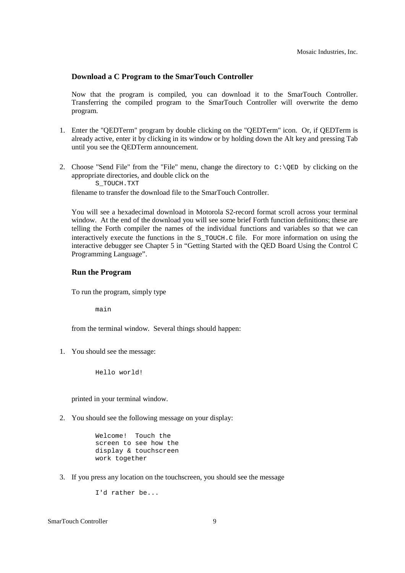#### **Download a C Program to the SmarTouch Controller**

Now that the program is compiled, you can download it to the SmarTouch Controller. Transferring the compiled program to the SmarTouch Controller will overwrite the demo program.

- 1. Enter the "QEDTerm" program by double clicking on the "QEDTerm" icon. Or, if QEDTerm is already active, enter it by clicking in its window or by holding down the Alt key and pressing Tab until you see the QEDTerm announcement.
- 2. Choose "Send File" from the "File" menu, change the directory to  $C:\QED$  by clicking on the appropriate directories, and double click on the S\_TOUCH.TXT

filename to transfer the download file to the SmarTouch Controller.

You will see a hexadecimal download in Motorola S2-record format scroll across your terminal window. At the end of the download you will see some brief Forth function definitions; these are telling the Forth compiler the names of the individual functions and variables so that we can interactively execute the functions in the S\_TOUCH.C file. For more information on using the interactive debugger see Chapter 5 in "Getting Started with the QED Board Using the Control C Programming Language".

#### **Run the Program**

To run the program, simply type

main

from the terminal window. Several things should happen:

1. You should see the message:

Hello world!

printed in your terminal window.

2. You should see the following message on your display:

 Welcome! Touch the screen to see how the display & touchscreen work together

3. If you press any location on the touchscreen, you should see the message

I'd rather be...

SmarTouch Controller 9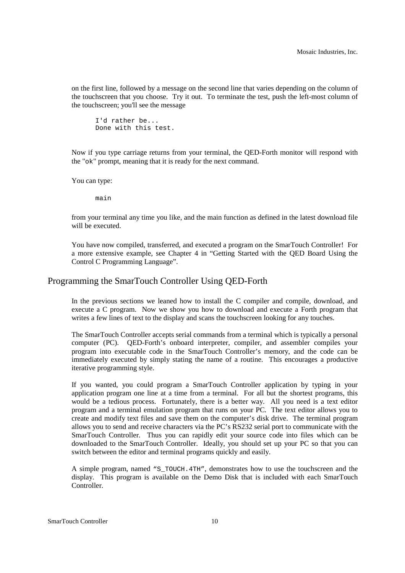on the first line, followed by a message on the second line that varies depending on the column of the touchscreen that you choose. Try it out. To terminate the test, push the left-most column of the touchscreen; you'll see the message

```
 I'd rather be... 
Done with this test.
```
 Now if you type carriage returns from your terminal, the QED-Forth monitor will respond with the "ok" prompt, meaning that it is ready for the next command.

You can type:

main

from your terminal any time you like, and the main function as defined in the latest download file will be executed.

You have now compiled, transferred, and executed a program on the SmarTouch Controller! For a more extensive example, see Chapter 4 in "Getting Started with the QED Board Using the Control C Programming Language".

## Programming the SmarTouch Controller Using QED-Forth

In the previous sections we leaned how to install the C compiler and compile, download, and execute a C program. Now we show you how to download and execute a Forth program that writes a few lines of text to the display and scans the touchscreen looking for any touches.

The SmarTouch Controller accepts serial commands from a terminal which is typically a personal computer (PC). QED-Forth's onboard interpreter, compiler, and assembler compiles your program into executable code in the SmarTouch Controller's memory, and the code can be immediately executed by simply stating the name of a routine. This encourages a productive iterative programming style.

If you wanted, you could program a SmarTouch Controller application by typing in your application program one line at a time from a terminal. For all but the shortest programs, this would be a tedious process. Fortunately, there is a better way. All you need is a text editor program and a terminal emulation program that runs on your PC. The text editor allows you to create and modify text files and save them on the computer's disk drive. The terminal program allows you to send and receive characters via the PC's RS232 serial port to communicate with the SmarTouch Controller. Thus you can rapidly edit your source code into files which can be downloaded to the SmarTouch Controller. Ideally, you should set up your PC so that you can switch between the editor and terminal programs quickly and easily.

A simple program, named "S\_TOUCH.4TH", demonstrates how to use the touchscreen and the display. This program is available on the Demo Disk that is included with each SmarTouch Controller.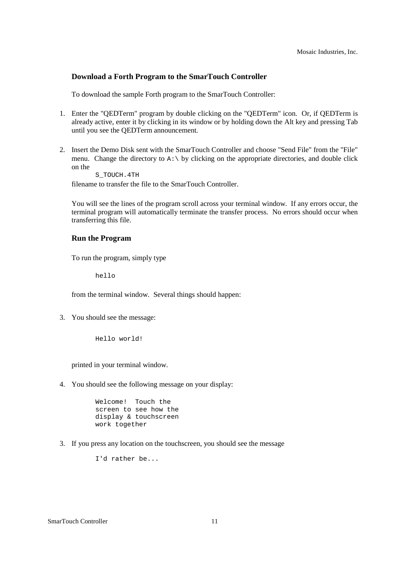#### **Download a Forth Program to the SmarTouch Controller**

To download the sample Forth program to the SmarTouch Controller:

- 1. Enter the "QEDTerm" program by double clicking on the "QEDTerm" icon. Or, if QEDTerm is already active, enter it by clicking in its window or by holding down the Alt key and pressing Tab until you see the QEDTerm announcement.
- 2. Insert the Demo Disk sent with the SmarTouch Controller and choose "Send File" from the "File" menu. Change the directory to  $A:\ \mathcal{A} \rightarrow \mathcal{A}$  by clicking on the appropriate directories, and double click on the

S\_TOUCH.4TH

filename to transfer the file to the SmarTouch Controller.

You will see the lines of the program scroll across your terminal window. If any errors occur, the terminal program will automatically terminate the transfer process. No errors should occur when transferring this file.

#### **Run the Program**

To run the program, simply type

hello

from the terminal window. Several things should happen:

3. You should see the message:

Hello world!

printed in your terminal window.

4. You should see the following message on your display:

```
 Welcome! Touch the 
screen to see how the 
display & touchscreen 
work together
```
3. If you press any location on the touchscreen, you should see the message

I'd rather be...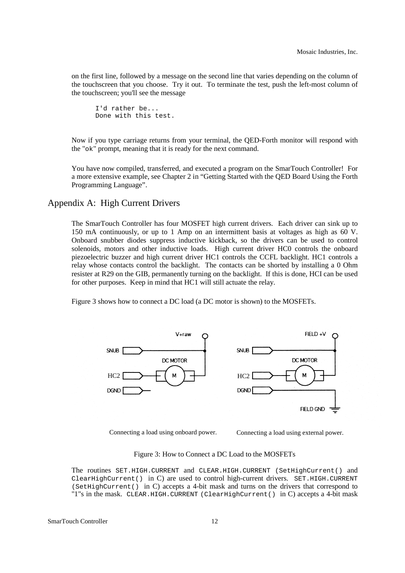on the first line, followed by a message on the second line that varies depending on the column of the touchscreen that you choose. Try it out. To terminate the test, push the left-most column of the touchscreen; you'll see the message

 I'd rather be... Done with this test.

 Now if you type carriage returns from your terminal, the QED-Forth monitor will respond with the "ok" prompt, meaning that it is ready for the next command.

You have now compiled, transferred, and executed a program on the SmarTouch Controller! For a more extensive example, see Chapter 2 in "Getting Started with the QED Board Using the Forth Programming Language".

#### Appendix A: High Current Drivers

The SmarTouch Controller has four MOSFET high current drivers. Each driver can sink up to 150 mA continuously, or up to 1 Amp on an intermittent basis at voltages as high as 60 V. Onboard snubber diodes suppress inductive kickback, so the drivers can be used to control solenoids, motors and other inductive loads. High current driver HC0 controls the onboard piezoelectric buzzer and high current driver HC1 controls the CCFL backlight. HC1 controls a relay whose contacts control the backlight. The contacts can be shorted by installing a 0 Ohm resister at R29 on the GIB, permanently turning on the backlight. If this is done, HCI can be used for other purposes. Keep in mind that HC1 will still actuate the relay.

Figure 3 shows how to connect a DC load (a DC motor is shown) to the MOSFETs.



Connecting a load using onboard power. Connecting a load using external power.

Figure 3: How to Connect a DC Load to the MOSFETs

The routines SET.HIGH.CURRENT and CLEAR.HIGH.CURRENT (SetHighCurrent() and ClearHighCurrent() in C) are used to control high-current drivers. SET.HIGH.CURRENT (SetHighCurrent() in C) accepts a 4-bit mask and turns on the drivers that correspond to "1"s in the mask. CLEAR.HIGH.CURRENT (ClearHighCurrent() in C) accepts a 4-bit mask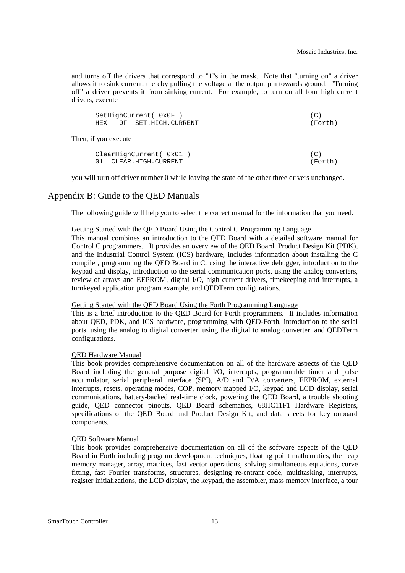and turns off the drivers that correspond to "1"s in the mask. Note that "turning on" a driver allows it to sink current, thereby pulling the voltage at the output pin towards ground. "Turning off" a driver prevents it from sinking current. For example, to turn on all four high current drivers, execute

| SetHighCurrent( 0x0F)<br>OF SET.HIGH.CURRENT<br>HEX   | (C)<br>(Forth) |
|-------------------------------------------------------|----------------|
| Then, if you execute                                  |                |
| ClearHighCurrent( 0x01 )<br>CLEAR.HIGH.CURRENT<br>ი 1 | (C)<br>(Forth) |

you will turn off driver number 0 while leaving the state of the other three drivers unchanged.

## Appendix B: Guide to the QED Manuals

The following guide will help you to select the correct manual for the information that you need.

#### Getting Started with the QED Board Using the Control C Programming Language

This manual combines an introduction to the QED Board with a detailed software manual for Control C programmers. It provides an overview of the QED Board, Product Design Kit (PDK), and the Industrial Control System (ICS) hardware, includes information about installing the C compiler, programming the QED Board in C, using the interactive debugger, introduction to the keypad and display, introduction to the serial communication ports, using the analog converters, review of arrays and EEPROM, digital I/O, high current drivers, timekeeping and interrupts, a turnkeyed application program example, and QEDTerm configurations.

#### Getting Started with the QED Board Using the Forth Programming Language

This is a brief introduction to the QED Board for Forth programmers. It includes information about QED, PDK, and ICS hardware, programming with QED-Forth, introduction to the serial ports, using the analog to digital converter, using the digital to analog converter, and QEDTerm configurations.

#### QED Hardware Manual

This book provides comprehensive documentation on all of the hardware aspects of the QED Board including the general purpose digital I/O, interrupts, programmable timer and pulse accumulator, serial peripheral interface (SPI), A/D and D/A converters, EEPROM, external interrupts, resets, operating modes, COP, memory mapped I/O, keypad and LCD display, serial communications, battery-backed real-time clock, powering the QED Board, a trouble shooting guide, QED connector pinouts, QED Board schematics, 68HC11F1 Hardware Registers, specifications of the QED Board and Product Design Kit, and data sheets for key onboard components.

#### QED Software Manual

This book provides comprehensive documentation on all of the software aspects of the QED Board in Forth including program development techniques, floating point mathematics, the heap memory manager, array, matrices, fast vector operations, solving simultaneous equations, curve fitting, fast Fourier transforms, structures, designing re-entrant code, multitasking, interrupts, register initializations, the LCD display, the keypad, the assembler, mass memory interface, a tour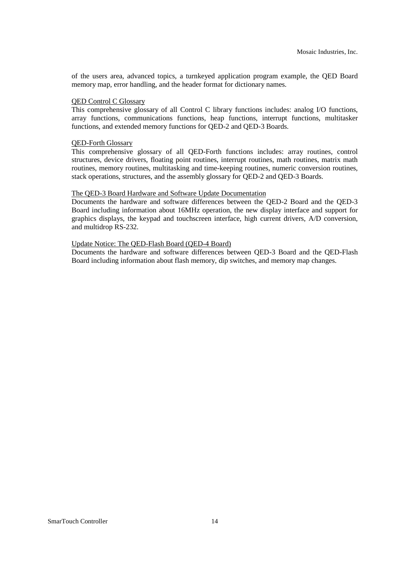of the users area, advanced topics, a turnkeyed application program example, the QED Board memory map, error handling, and the header format for dictionary names.

#### QED Control C Glossary

This comprehensive glossary of all Control C library functions includes: analog I/O functions, array functions, communications functions, heap functions, interrupt functions, multitasker functions, and extended memory functions for QED-2 and QED-3 Boards.

#### QED-Forth Glossary

This comprehensive glossary of all QED-Forth functions includes: array routines, control structures, device drivers, floating point routines, interrupt routines, math routines, matrix math routines, memory routines, multitasking and time-keeping routines, numeric conversion routines, stack operations, structures, and the assembly glossary for QED-2 and QED-3 Boards.

#### The QED-3 Board Hardware and Software Update Documentation

Documents the hardware and software differences between the QED-2 Board and the QED-3 Board including information about 16MHz operation, the new display interface and support for graphics displays, the keypad and touchscreen interface, high current drivers, A/D conversion, and multidrop RS-232.

#### Update Notice: The QED-Flash Board (QED-4 Board)

Documents the hardware and software differences between QED-3 Board and the QED-Flash Board including information about flash memory, dip switches, and memory map changes.